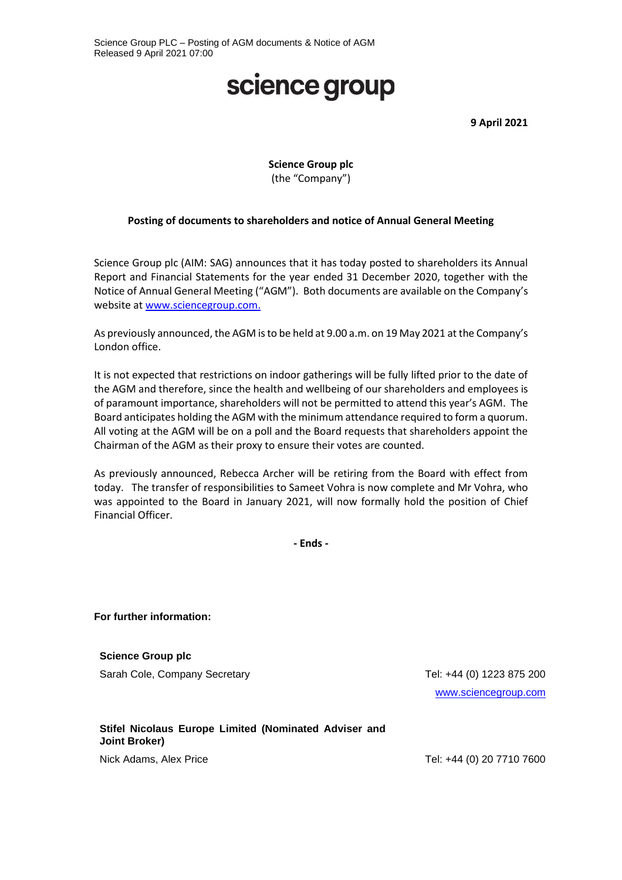# science group

**9 April 2021**

### **Science Group plc** (the "Company")

#### **Posting of documents to shareholders and notice of Annual General Meeting**

Science Group plc (AIM: SAG) announces that it has today posted to shareholders its Annual Report and Financial Statements for the year ended 31 December 2020, together with the Notice of Annual General Meeting ("AGM"). Both documents are available on the Company's website at [www.sciencegroup.com.](http://www.sciencegroup.com./)

As previously announced, the AGM is to be held at 9.00 a.m. on 19 May 2021 at the Company's London office.

It is not expected that restrictions on indoor gatherings will be fully lifted prior to the date of the AGM and therefore, since the health and wellbeing of our shareholders and employees is of paramount importance, shareholders will not be permitted to attend this year's AGM. The Board anticipates holding the AGM with the minimum attendance required to form a quorum. All voting at the AGM will be on a poll and the Board requests that shareholders appoint the Chairman of the AGM as their proxy to ensure their votes are counted.

As previously announced, Rebecca Archer will be retiring from the Board with effect from today. The transfer of responsibilities to Sameet Vohra is now complete and Mr Vohra, who was appointed to the Board in January 2021, will now formally hold the position of Chief Financial Officer.

**- Ends -**

**For further information:**

**Science Group plc** Sarah Cole, Company Secretary Tel: +44 (0) 1223 875 200

[www.sciencegroup.com](http://www.sciencegroup.com/)

#### **Stifel Nicolaus Europe Limited (Nominated Adviser and Joint Broker)**

Nick Adams, Alex Price **Tel: +44 (0) 20 7710 7600**